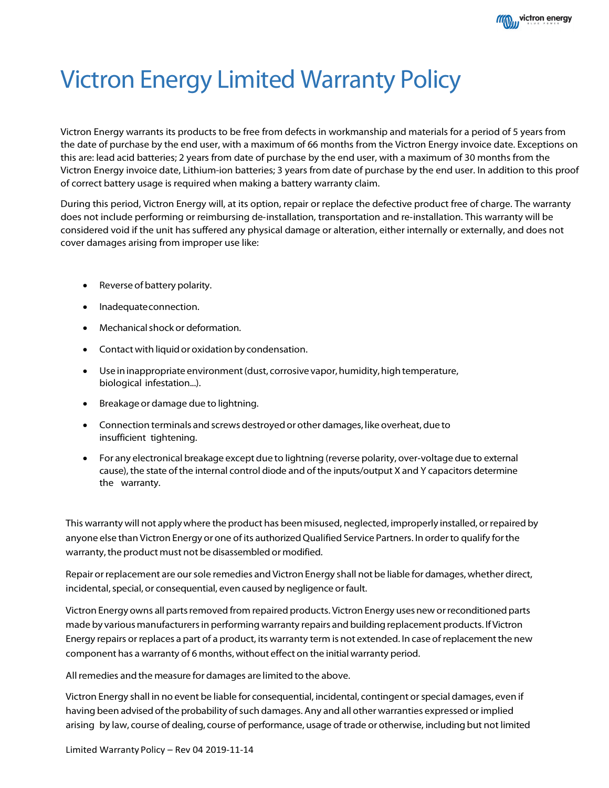

# Victron Energy Limited Warranty Policy

Victron Energy warrants its products to be free from defects in workmanship and materials for a period of 5 years from the date of purchase by the end user, with a maximum of 66 months from the Victron Energy invoice date. Exceptions on this are: lead acid batteries; 2 years from date of purchase by the end user, with a maximum of 30 months from the Victron Energy invoice date, Lithium-ion batteries; 3 years from date of purchase by the end user. In addition to this proof of correct battery usage is required when making a battery warranty claim.

During this period, Victron Energy will, at its option, repair or replace the defective product free of charge. The warranty does not include performing or reimbursing de‐installation, transportation and re‐installation. This warranty will be considered void if the unit has suffered any physical damage or alteration, either internally or externally, and does not cover damages arising from improper use like:

- Reverse of battery polarity.
- Inadequateconnection.
- Mechanical shock or deformation.
- Contact with liquid or oxidation by condensation.
- Use in inappropriate environment (dust, corrosive vapor, humidity, high temperature, biological infestation...).
- Breakage or damage due to lightning.
- Connection terminals and screws destroyedor other damages, like overheat, due to insufficient tightening.
- For any electronical breakage except due to lightning (reverse polarity, over-voltage due to external cause), the state of the internal control diode and of the inputs/output X and Y capacitors determine the warranty.

This warranty will not applywhere the product has beenmisused, neglected, improperly installed, orrepaired by anyone else than Victron Energy or one of its authorized Qualified Service Partners. In order to qualify for the warranty, the product must not be disassembled or modified.

Repair orreplacement are oursole remedies and Victron Energy shall not be liable for damages, whether direct, incidental, special, or consequential, even caused by negligence or fault.

Victron Energy owns all parts removed from repaired products. Victron Energy uses new or reconditioned parts made by various manufacturersin performing warranty repairs and buildingreplacement products. If Victron Energy repairs or replaces a part of a product, its warranty term is not extended. In case of replacementthe new component has a warranty of 6 months, without effect on the initial warranty period.

All remedies and the measure for damages are limited to the above.

Victron Energy shall in no event be liable for consequential, incidental, contingent orspecial damages, even if having been advised of the probability of such damages. Any and all other warranties expressed or implied arising by law, course of dealing, course of performance, usage oftrade or otherwise, including but not limited